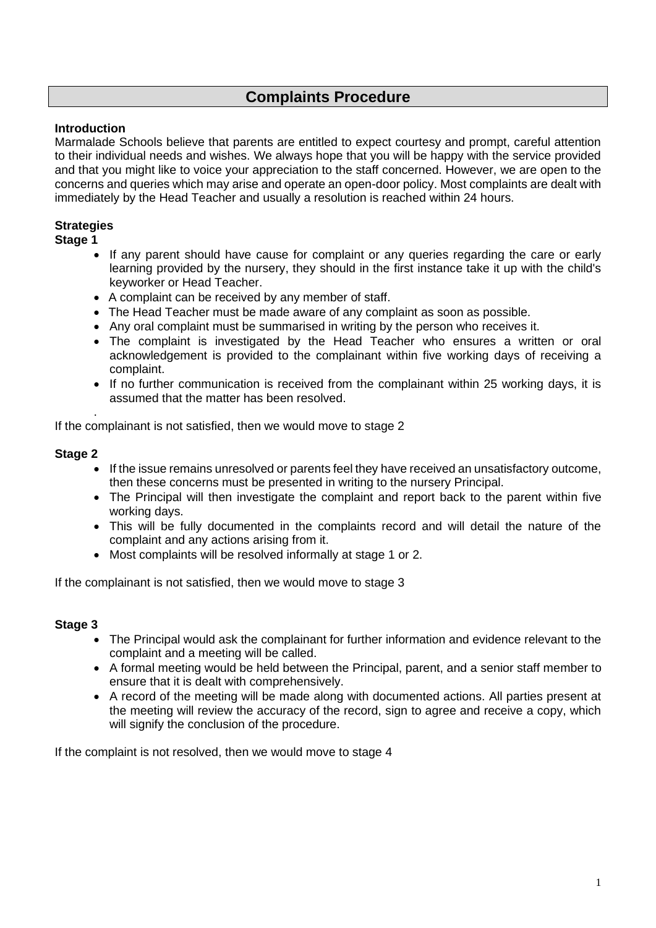# **Complaints Procedure**

## **Introduction**

Marmalade Schools believe that parents are entitled to expect courtesy and prompt, careful attention to their individual needs and wishes. We always hope that you will be happy with the service provided and that you might like to voice your appreciation to the staff concerned. However, we are open to the concerns and queries which may arise and operate an open-door policy. Most complaints are dealt with immediately by the Head Teacher and usually a resolution is reached within 24 hours.

### **Strategies**

#### **Stage 1**

- If any parent should have cause for complaint or any queries regarding the care or early learning provided by the nursery, they should in the first instance take it up with the child's keyworker or Head Teacher.
- A complaint can be received by any member of staff.
- The Head Teacher must be made aware of any complaint as soon as possible.
- Any oral complaint must be summarised in writing by the person who receives it.
- The complaint is investigated by the Head Teacher who ensures a written or oral acknowledgement is provided to the complainant within five working days of receiving a complaint.
- If no further communication is received from the complainant within 25 working days, it is assumed that the matter has been resolved.

. If the complainant is not satisfied, then we would move to stage 2

#### **Stage 2**

- If the issue remains unresolved or parents feel they have received an unsatisfactory outcome, then these concerns must be presented in writing to the nursery Principal.
- The Principal will then investigate the complaint and report back to the parent within five working days.
- This will be fully documented in the complaints record and will detail the nature of the complaint and any actions arising from it.
- Most complaints will be resolved informally at stage 1 or 2.

If the complainant is not satisfied, then we would move to stage 3

#### **Stage 3**

- The Principal would ask the complainant for further information and evidence relevant to the complaint and a meeting will be called.
- A formal meeting would be held between the Principal, parent, and a senior staff member to ensure that it is dealt with comprehensively.
- A record of the meeting will be made along with documented actions. All parties present at the meeting will review the accuracy of the record, sign to agree and receive a copy, which will signify the conclusion of the procedure.

If the complaint is not resolved, then we would move to stage 4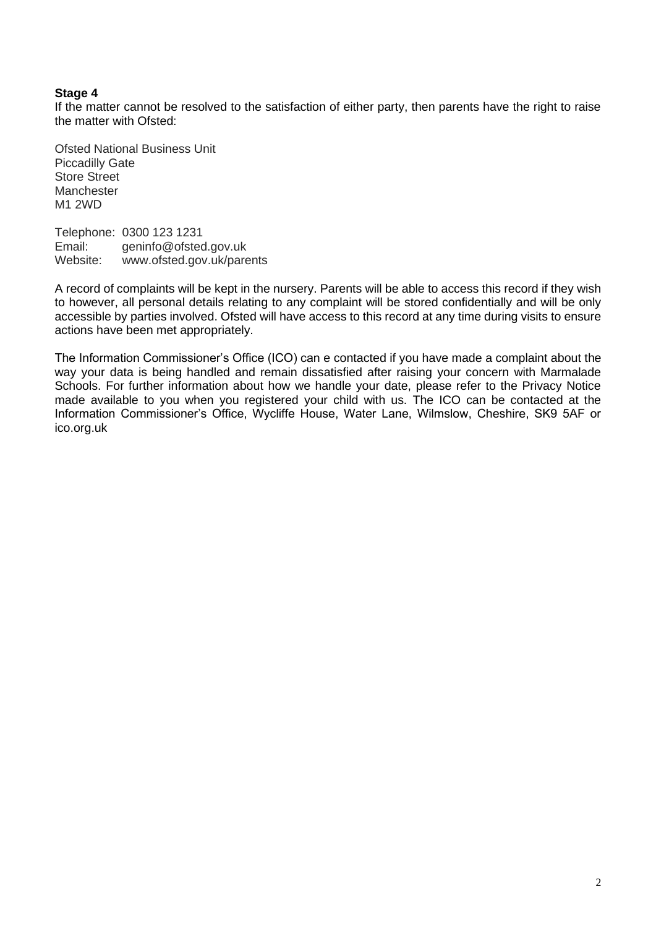#### **Stage 4**

If the matter cannot be resolved to the satisfaction of either party, then parents have the right to raise the matter with Ofsted:

Ofsted National Business Unit Piccadilly Gate Store Street **Manchester** M1 2WD

Telephone: 0300 123 1231 Email: geninfo@ofsted.gov.uk<br>Website: www.ofsted.gov.uk/pare www.ofsted.gov.uk/parents

A record of complaints will be kept in the nursery. Parents will be able to access this record if they wish to however, all personal details relating to any complaint will be stored confidentially and will be only accessible by parties involved. Ofsted will have access to this record at any time during visits to ensure actions have been met appropriately.

The Information Commissioner's Office (ICO) can e contacted if you have made a complaint about the way your data is being handled and remain dissatisfied after raising your concern with Marmalade Schools. For further information about how we handle your date, please refer to the Privacy Notice made available to you when you registered your child with us. The ICO can be contacted at the Information Commissioner's Office, Wycliffe House, Water Lane, Wilmslow, Cheshire, SK9 5AF or ico.org.uk